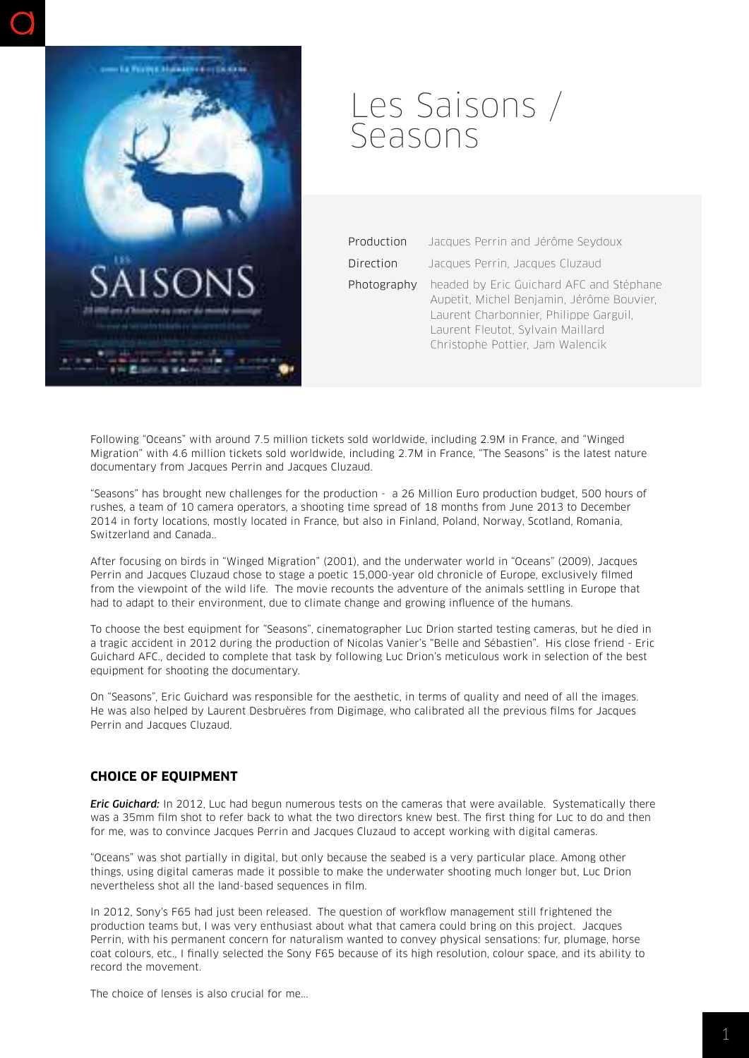

## Les Saisons / Seasons

| Production  | Jacques Perrin and Jérôme Seydoux                                                                                                                                                                        |
|-------------|----------------------------------------------------------------------------------------------------------------------------------------------------------------------------------------------------------|
| Direction   | Jacques Perrin, Jacques Cluzaud                                                                                                                                                                          |
| Photography | headed by Eric Guichard AFC and Stéphane<br>Aupetit, Michel Benjamin, Jérôme Bouvier,<br>Laurent Charbonnier, Philippe Garguil,<br>Laurent Fleutot, Sylvain Maillard<br>Christophe Pottier, Jam Walencik |

Following "Oceans" with around 7.5 million tickets sold worldwide, including 2.9M in France, and "Winged Migration" with 4.6 million tickets sold worldwide, including 2.7M in France, "The Seasons" is the latest nature documentary from Jacques Perrin and Jacques Cluzaud.

"Seasons" has brought new challenges for the production - a 26 Million Euro production budget, 500 hours of rushes, a team of 10 camera operators, a shooting time spread of 18 months from June 2013 to December 2014 in forty locations, mostly located in France, but also in Finland, Poland, Norway, Scotland, Romania, Switzerland and Canada..

After focusing on birds in "Winged Migration" (2001), and the underwater world in "Oceans" (2009), Jacques Perrin and Jacques Cluzaud chose to stage a poetic 15,000-year old chronicle of Europe, exclusively filmed from the viewpoint of the wild life. The movie recounts the adventure of the animals settling in Europe that had to adapt to their environment, due to climate change and growing influence of the humans.

To choose the best equipment for "Seasons", cinematographer Luc Drion started testing cameras, but he died in a tragic accident in 2012 during the production of Nicolas Vanier's "Belle and Sébastien". His close friend - Eric Guichard AFC., decided to complete that task by following Luc Drion's meticulous work in selection of the best equipment for shooting the documentary.

On "Seasons", Eric Guichard was responsible for the aesthetic, in terms of quality and need of all the images. He was also helped by Laurent Desbruères from Digimage, who calibrated all the previous films for Jacques Perrin and Jacques Cluzaud.

## **CHOICE OF EQUIPMENT**

*Eric Guichard:* In 2012, Luc had begun numerous tests on the cameras that were available. Systematically there was a 35mm film shot to refer back to what the two directors knew best. The first thing for Luc to do and then for me, was to convince Jacques Perrin and Jacques Cluzaud to accept working with digital cameras.

"Oceans" was shot partially in digital, but only because the seabed is a very particular place. Among other things, using digital cameras made it possible to make the underwater shooting much longer but, Luc Drion nevertheless shot all the land-based sequences in film.

In 2012, Sony's F65 had just been released. The question of workflow management still frightened the production teams but, I was very enthusiast about what that camera could bring on this project. Jacques Perrin, with his permanent concern for naturalism wanted to convey physical sensations: fur, plumage, horse coat colours, etc., I finally selected the Sony F65 because of its high resolution, colour space, and its ability to record the movement.

The choice of lenses is also crucial for me...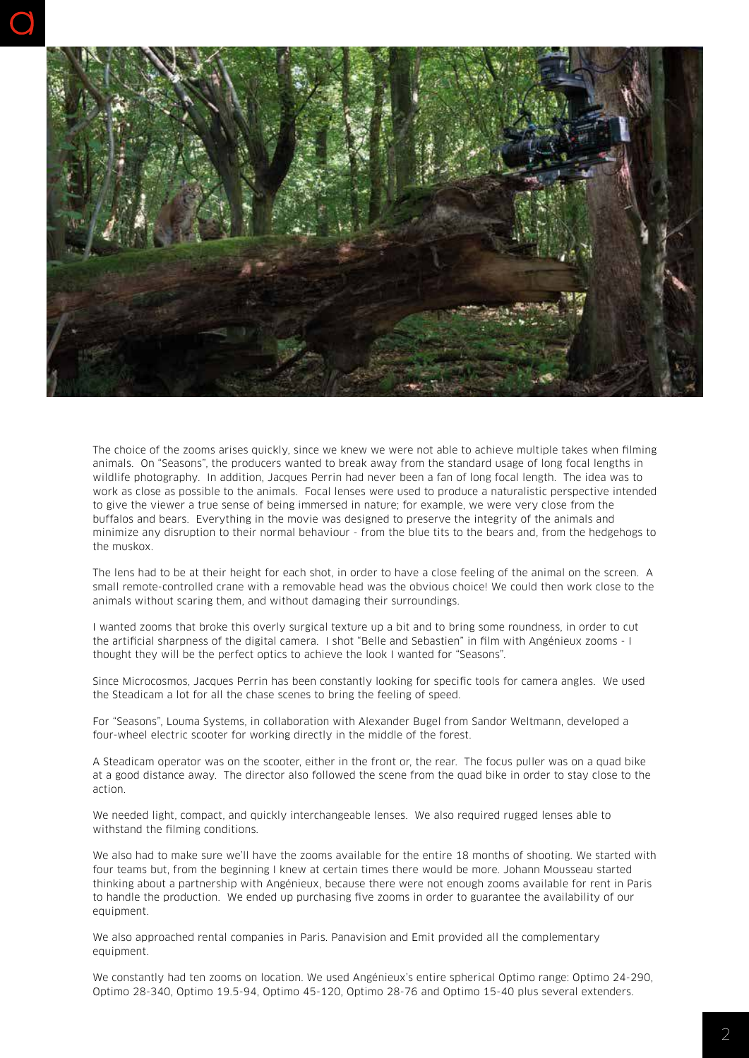

The choice of the zooms arises quickly, since we knew we were not able to achieve multiple takes when filming animals. On "Seasons", the producers wanted to break away from the standard usage of long focal lengths in wildlife photography. In addition, Jacques Perrin had never been a fan of long focal length. The idea was to work as close as possible to the animals. Focal lenses were used to produce a naturalistic perspective intended to give the viewer a true sense of being immersed in nature; for example, we were very close from the buffalos and bears. Everything in the movie was designed to preserve the integrity of the animals and minimize any disruption to their normal behaviour - from the blue tits to the bears and, from the hedgehogs to the muskox.

The lens had to be at their height for each shot, in order to have a close feeling of the animal on the screen. A small remote-controlled crane with a removable head was the obvious choice! We could then work close to the animals without scaring them, and without damaging their surroundings.

I wanted zooms that broke this overly surgical texture up a bit and to bring some roundness, in order to cut the artificial sharpness of the digital camera. I shot "Belle and Sebastien" in film with Angénieux zooms - I thought they will be the perfect optics to achieve the look I wanted for "Seasons".

Since Microcosmos, Jacques Perrin has been constantly looking for specific tools for camera angles. We used the Steadicam a lot for all the chase scenes to bring the feeling of speed.

For "Seasons", Louma Systems, in collaboration with Alexander Bugel from Sandor Weltmann, developed a four-wheel electric scooter for working directly in the middle of the forest.

A Steadicam operator was on the scooter, either in the front or, the rear. The focus puller was on a quad bike at a good distance away. The director also followed the scene from the quad bike in order to stay close to the action.

We needed light, compact, and quickly interchangeable lenses. We also required rugged lenses able to withstand the filming conditions.

We also had to make sure we'll have the zooms available for the entire 18 months of shooting. We started with four teams but, from the beginning I knew at certain times there would be more. Johann Mousseau started thinking about a partnership with Angénieux, because there were not enough zooms available for rent in Paris to handle the production. We ended up purchasing five zooms in order to guarantee the availability of our equipment.

We also approached rental companies in Paris. Panavision and Emit provided all the complementary equipment.

We constantly had ten zooms on location. We used Angénieux's entire spherical Optimo range: Optimo 24-290, Optimo 28-340, Optimo 19.5-94, Optimo 45-120, Optimo 28-76 and Optimo 15-40 plus several extenders.